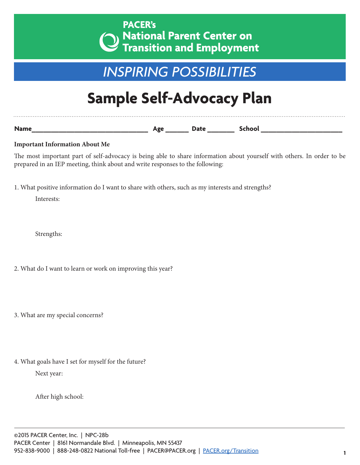## *INSPIRING POSSIBILITIES*

## **Sample Self-Advocacy Plan**

**Name\_\_\_\_\_\_\_\_\_\_\_\_\_\_\_\_\_\_\_\_\_\_\_\_\_\_\_\_\_\_ Age \_\_\_\_\_\_ Date \_\_\_\_\_\_\_ School \_\_\_\_\_\_\_\_\_\_\_\_\_\_\_\_\_\_\_\_\_**

**Important Information About Me**

The most important part of self-advocacy is being able to share information about yourself with others. In order to be prepared in an IEP meeting, think about and write responses to the following:

1. What positive information do I want to share with others, such as my interests and strengths?

Interests:

Strengths:

- 2. What do I want to learn or work on improving this year?
- 3. What are my special concerns?
- 4. What goals have I set for myself for the future?

Next year:

After high school: